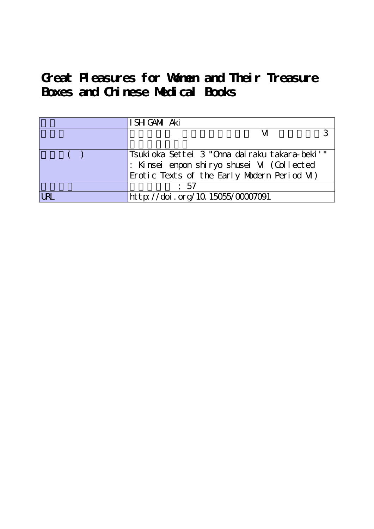**Great Pleasures for Women and Their Treasure Boxes and Chinese Medical Books**

|     | ISH GAMIAki                                   |  |
|-----|-----------------------------------------------|--|
|     |                                               |  |
|     |                                               |  |
|     | Tsukioka Settei 3 "Onna dairaku takara-beki'" |  |
|     | : Kinsei enpon shiryo shusei M (Collected     |  |
|     | Erotic Texts of the Early Modern Period M)    |  |
|     | : 57                                          |  |
| IRI | http://doi.org/10.15055/00007091              |  |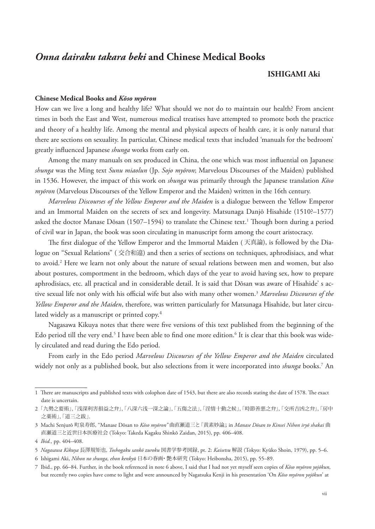# *Onna dairaku takara beki* **and Chinese Medical Books**

## **ISHIGAMI Aki**

#### **Chinese Medical Books and** *Kōso myōron*

How can we live a long and healthy life? What should we not do to maintain our health? From ancient times in both the East and West, numerous medical treatises have attempted to promote both the practice and theory of a healthy life. Among the mental and physical aspects of health care, it is only natural that there are sections on sexuality. In particular, Chinese medical texts that included 'manuals for the bedroom' greatly influenced Japanese *shunga* works from early on.

Among the many manuals on sex produced in China, the one which was most influential on Japanese *shunga* was the Ming text *Sunu miaolun* (Jp. *Sojo myōron*; Marvelous Discourses of the Maiden) published in 1536. However, the impact of this work on *shunga* was primarily through the Japanese translation *Kōso myōron* (Marvelous Discourses of the Yellow Emperor and the Maiden) written in the 16th century.

*Marvelous Discourses of the Yellow Emperor and the Maiden* is a dialogue between the Yellow Emperor and an Immortal Maiden on the secrets of sex and longevity. Matsunaga Danjō Hisahide (1510?–1577) asked the doctor Manase Dōsan (1507–1594) to translate the Chinese text.' Though born during a period of civil war in Japan, the book was soon circulating in manuscript form among the court aristocracy.

The first dialogue of the Yellow Emperor and the Immortal Maiden ( 天真論), is followed by the Dialogue on "Sexual Relations" ( 交合和違) and then a series of sections on techniques, aphrodisiacs, and what to avoid.<sup>2</sup> Here we learn not only about the nature of sexual relations between men and women, but also about postures, comportment in the bedroom, which days of the year to avoid having sex, how to prepare aphrodisiacs, etc. all practical and in considerable detail. It is said that Dōsan was aware of Hisahide' s active sexual life not only with his official wife but also with many other women.3 *Marvelous Discourses of the Yellow Emperor and the Maiden*, therefore, was written particularly for Matsunaga Hisahide, but later circulated widely as a manuscript or printed copy.<sup>4</sup>

Nagasawa Kikuya notes that there were five versions of this text published from the beginning of the Edo period till the very end.<sup>5</sup> I have been able to find one more edition.<sup>6</sup> It is clear that this book was widely circulated and read during the Edo period.

From early in the Edo period *Marvelous Discourses of the Yellow Emperor and the Maiden* circulated widely not only as a published book, but also selections from it were incorporated into *shunga* books.7 An

<sup>1</sup> There are manuscripts and published texts with colophon date of 1543, but there are also records stating the date of 1578. The exact date is uncertain.

<sup>2</sup> 「九勢之要術」 , 「浅深利害損益之弁」 ,「八深六浅一深之論」 , 「五傷之法」 ,「淫情十動之候」 , 「時節善悪之弁」 , 「交所吉凶之弁」 , 「房中 之薬術」, 「道三之跋」.

<sup>3</sup> Machi Senjurō 町泉寿郎, "Manase Dōsan to *Kōso myōron"* 曲直瀬道三と『黄素妙論』*,* in *Manase Dōsan to Kinsei Nihon iryō shakai* 曲 直瀬道三と近世日本医療社会 (Tokyo: Takeda Kagaku Shinkō Zaidan, 2015), pp. 406–408.

<sup>4</sup> *Ibid.,* pp. 404–408.

<sup>5</sup> *Nagasawa Kikuya* 長澤規矩也*, Toshogaku sankō zuroku* 図書学参考図録, pt. 2: *Kaisetsu* 解説 (Tokyo: Kyūko Shoin, 1979), pp. 5–6.

<sup>6</sup> Ishigami Aki, *Nihon no shunga, ehon kenkyū* 日本の春画・ 艶本研究 (Tokyo: Heibonsha, 2015), pp. 55–89.

<sup>7</sup> Ibid., pp. 66–84. Further, in the book referenced in note 6 above, I said that I had not yet myself seen copies of *Kōso myōron yojōkun*, but recently two copies have come to light and were announced by Nagatsuka Kenji in his presentation 'On *Kōso myōron yojōkun*' at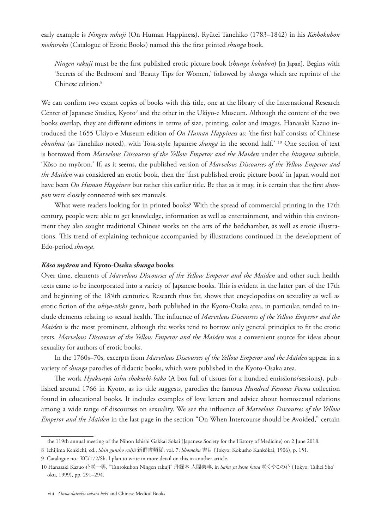early example is *Ningen rakuji* (On Human Happiness). Ryūtei Tanehiko (1783–1842) in his *Kōshokubon mokuroku* (Catalogue of Erotic Books) named this the first printed *shunga* book.

*Ningen rakuji* must be the first published erotic picture book (*shunga kokubon*) [in Japan]. Begins with 'Secrets of the Bedroom' and 'Beauty Tips for Women,' followed by *shunga* which are reprints of the Chinese edition.<sup>8</sup>

We can confirm two extant copies of books with this title, one at the library of the International Research Center of Japanese Studies, Kyoto<sup>9</sup> and the other in the Ukiyo-e Museum. Although the content of the two books overlap, they are different editions in terms of size, printing, color and images. Hanasaki Kazuo introduced the 1655 Ukiyo-e Museum edition of *On Human Happiness* as: 'the first half consists of Chinese *chunhua* (as Tanehiko noted), with Tosa-style Japanese *shunga* in the second half.' 10 One section of text is borrowed from *Marvelous Discourses of the Yellow Emperor and the Maiden* under the *hiragana* subtitle, 'Kōso no myōron.' If, as it seems, the published version of *Marvelous Discourses of the Yellow Emperor and the Maiden* was considered an erotic book, then the 'first published erotic picture book' in Japan would not have been *On Human Happiness* but rather this earlier title. Be that as it may, it is certain that the first *shunpon* were closely connected with sex manuals.

What were readers looking for in printed books? With the spread of commercial printing in the 17th century, people were able to get knowledge, information as well as entertainment, and within this environment they also sought traditional Chinese works on the arts of the bedchamber, as well as erotic illustrations. This trend of explaining technique accompanied by illustrations continued in the development of Edo-period *shunga*.

# *Kōso myōron* **and Kyoto-Osaka** *shunga* **books**

Over time, elements of *Marvelous Discourses of the Yellow Emperor and the Maiden* and other such health texts came to be incorporated into a variety of Japanese books. This is evident in the latter part of the 17th and beginning of the 18√th centuries. Research thus far, shows that encyclopedias on sexuality as well as erotic fiction of the *ukiyo-zōshi* genre, both published in the Kyoto-Osaka area, in particular, tended to include elements relating to sexual health. The influence of *Marvelous Discourses of the Yellow Emperor and the Maiden* is the most prominent, although the works tend to borrow only general principles to fit the erotic texts. *Marvelous Discourses of the Yellow Emperor and the Maiden* was a convenient source for ideas about sexuality for authors of erotic books.

In the 1760s–70s, excerpts from *Marvelous Discourses of the Yellow Emperor and the Maiden* appear in a variety of *shunga* parodies of didactic books, which were published in the Kyoto-Osaka area.

The work *Hyakunyū isshu shokushi-bako* (A box full of tissues for a hundred emissions/sessions), published around 1766 in Kyoto, as its title suggests, parodies the famous *Hundred Famous Poems* collection found in educational books. It includes examples of love letters and advice about homosexual relations among a wide range of discourses on sexuality. We see the influence of *Marvelous Discourses of the Yellow Emperor and the Maiden* in the last page in the section "On When Intercourse should be Avoided," certain

the 119th annual meeting of the Nihon Ishishi Gakkai Sōkai (Japanese Society for the History of Medicine) on 2 June 2018.

<sup>8</sup> Ichijima Kenkichi, ed., *Shin gunsho ruijū* 新群書類従, vol. 7: *Shomoku* 書目 (Tokyo: Kokusho Kankōkai, 1906), p. 151.

<sup>9</sup> Catalogue no.: KC/172/Sh. I plan to write in more detail on this in another article.

<sup>10</sup> Hanasaki Kazuo 花咲一男, "Tanrokubon Ningen rakuji" 丹緑本 人間楽事, in *Saku ya kono hana* 咲くやこの花 (Tokyo: Taihei Sho' oku, 1999), pp. 291–294.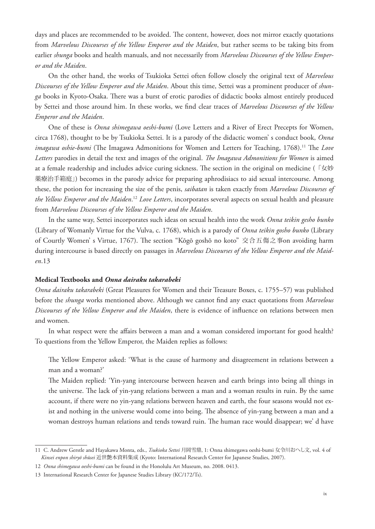days and places are recommended to be avoided. The content, however, does not mirror exactly quotations from *Marvelous Discourses of the Yellow Emperor and the Maiden*, but rather seems to be taking bits from earlier *shunga* books and health manuals, and not necessarily from *Marvelous Discourses of the Yellow Emperor and the Maiden*.

On the other hand, the works of Tsukioka Settei often follow closely the original text of *Marvelous Discourses of the Yellow Emperor and the Maiden*. About this time, Settei was a prominent producer of *shunga* books in Kyoto-Osaka. There was a burst of erotic parodies of didactic books almost entirely produced by Settei and those around him. In these works, we find clear traces of *Marvelous Discourses of the Yellow Emperor and the Maiden*.

One of these is *Onna shimegawa oeshi-bumi* (Love Letters and a River of Erect Precepts for Women, circa 1768), thought to be by Tsukioka Settei. It is a parody of the didactic women' s conduct book, *Onna imagawa oshie-bumi* (The Imagawa Admonitions for Women and Letters for Teaching, 1768).<sup>11</sup> The *Love Letters* parodies in detail the text and images of the original. *The Imagawa Admonitions for Women* is aimed at a female readership and includes advice curing sickness. The section in the original on medicine (「女妙 薬療治手箱庭」) becomes in the parody advice for preparing aphrodisiacs to aid sexual intercourse. Among these, the potion for increasing the size of the penis, *saibatan* is taken exactly from *Marvelous Discourses of the Yellow Emperor and the Maiden*. <sup>12</sup> *Love Letters*, incorporates several aspects on sexual health and pleasure from *Marvelous Discourses of the Yellow Emperor and the Maiden*.

In the same way, Settei incorporates such ideas on sexual health into the work *Onna teikin gesho bunko* (Library of Womanly Virtue for the Vulva, c. 1768), which is a parody of *Onna teikin gosho bunko* (Library of Courtly Women' s Virtue, 1767). The section "Kōgō goshō no koto" 交合五傷之事on avoiding harm during intercourse is based directly on passages in *Marvelous Discourses of the Yellow Emperor and the Maiden*.13

## **Medical Textbooks and** *Onna dairaku takarabeki*

*Onna dairaku takarabeki* (Great Pleasures for Women and their Treasure Boxes, c. 1755–57) was published before the *shunga* works mentioned above. Although we cannot find any exact quotations from *Marvelous Discourses of the Yellow Emperor and the Maiden*, there is evidence of influence on relations between men and women.

In what respect were the affairs between a man and a woman considered important for good health? To questions from the Yellow Emperor, the Maiden replies as follows:

The Yellow Emperor asked: 'What is the cause of harmony and disagreement in relations between a man and a woman?'

The Maiden replied: 'Yin-yang intercourse between heaven and earth brings into being all things in the universe. The lack of yin-yang relations between a man and a woman results in ruin. By the same account, if there were no yin-yang relations between heaven and earth, the four seasons would not exist and nothing in the universe would come into being. The absence of yin-yang between a man and a woman destroys human relations and tends toward ruin. The human race would disappear; we' d have

<sup>11</sup> C. Andrew Gerstle and Hayakawa Monta, eds., *Tsukioka Settei* 月岡雪鼎, 1: Onna shimegawa oeshi-bumi 女令川おへし文, vol. 4 of *Kinsei enpon shiryō shūsei* 近世艶本資料集成 (Kyoto: International Research Center for Japanese Studies, 2007).

<sup>12</sup> *Onna shimegawa oeshi-bumi* can be found in the Honolulu Art Museum, no. 2008. 0413.

<sup>13</sup> International Research Center for Japanese Studies Library (KC/172/Ts).